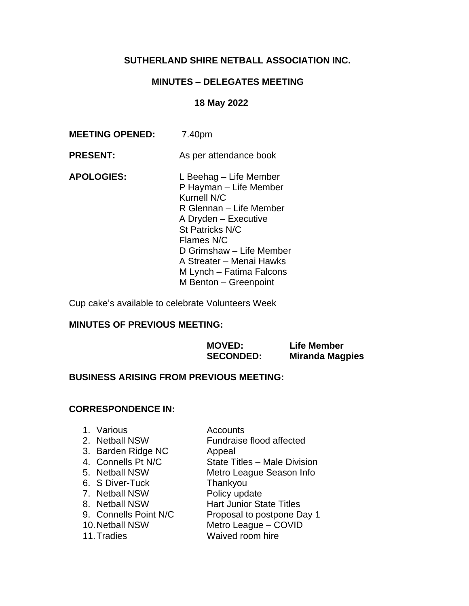# **SUTHERLAND SHIRE NETBALL ASSOCIATION INC.**

# **MINUTES – DELEGATES MEETING**

# **18 May 2022**

| As per attendance book                                                                                                                                                                                           |
|------------------------------------------------------------------------------------------------------------------------------------------------------------------------------------------------------------------|
| L Beehag – Life Member<br>P Hayman - Life Member<br>R Glennan – Life Member<br>A Dryden - Executive<br>D Grimshaw - Life Member<br>A Streater - Menai Hawks<br>M Lynch – Fatima Falcons<br>M Benton - Greenpoint |
|                                                                                                                                                                                                                  |

Cup cake's available to celebrate Volunteers Week

# **MINUTES OF PREVIOUS MEETING:**

|                                                | <b>MOVED:</b><br><b>SECONDED:</b> | Life Member<br><b>Miranda Magpies</b> |
|------------------------------------------------|-----------------------------------|---------------------------------------|
| <b>BUSINESS ARISING FROM PREVIOUS MEETING:</b> |                                   |                                       |

# **CORRESPONDENCE IN:**

| 1. Various<br>2. Netball NSW<br>3. Barden Ridge NC<br>4. Connells Pt N/C<br>5. Netball NSW<br>6. S Diver-Tuck<br>7. Netball NSW<br>8. Netball NSW<br>9. Connells Point N/C<br>10. Netball NSW | Accounts<br>Fundraise flood affected<br>Appeal<br>State Titles - Male Division<br>Metro League Season Info<br>Thankyou<br>Policy update<br><b>Hart Junior State Titles</b><br>Proposal to postpone Day 1<br>Metro League - COVID |
|-----------------------------------------------------------------------------------------------------------------------------------------------------------------------------------------------|----------------------------------------------------------------------------------------------------------------------------------------------------------------------------------------------------------------------------------|
| 11. Tradies                                                                                                                                                                                   | Waived room hire                                                                                                                                                                                                                 |
|                                                                                                                                                                                               |                                                                                                                                                                                                                                  |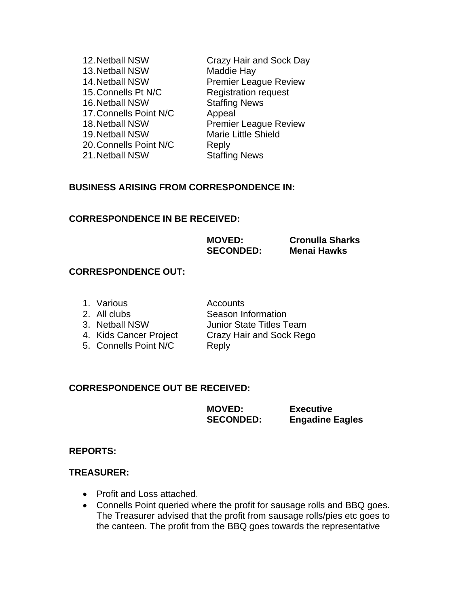| 12. Netball NSW        | Crazy Hair and Sock Day      |
|------------------------|------------------------------|
| 13. Netball NSW        | Maddie Hay                   |
| 14. Netball NSW        | <b>Premier League Review</b> |
| 15. Connells Pt N/C    | <b>Registration request</b>  |
| 16. Netball NSW        | <b>Staffing News</b>         |
| 17. Connells Point N/C | Appeal                       |
| 18. Netball NSW        | <b>Premier League Review</b> |
| 19. Netball NSW        | <b>Marie Little Shield</b>   |
| 20. Connells Point N/C | Reply                        |
| 21. Netball NSW        | <b>Staffing News</b>         |

### **BUSINESS ARISING FROM CORRESPONDENCE IN:**

#### **CORRESPONDENCE IN BE RECEIVED:**

| <b>MOVED:</b>    | <b>Cronulla Sharks</b> |
|------------------|------------------------|
| <b>SECONDED:</b> | <b>Menai Hawks</b>     |

#### **CORRESPONDENCE OUT:**

| 1. Various             | Accounts                        |
|------------------------|---------------------------------|
| 2. All clubs           | Season Information              |
| 3. Netball NSW         | <b>Junior State Titles Team</b> |
| 4. Kids Cancer Project | Crazy Hair and Sock Rego        |
| 5. Connells Point N/C  | Reply                           |
|                        |                                 |

#### **CORRESPONDENCE OUT BE RECEIVED:**

| <b>MOVED:</b>    | <b>Executive</b>       |
|------------------|------------------------|
| <b>SECONDED:</b> | <b>Engadine Eagles</b> |

#### **REPORTS:**

### **TREASURER:**

- Profit and Loss attached.
- Connells Point queried where the profit for sausage rolls and BBQ goes. The Treasurer advised that the profit from sausage rolls/pies etc goes to the canteen. The profit from the BBQ goes towards the representative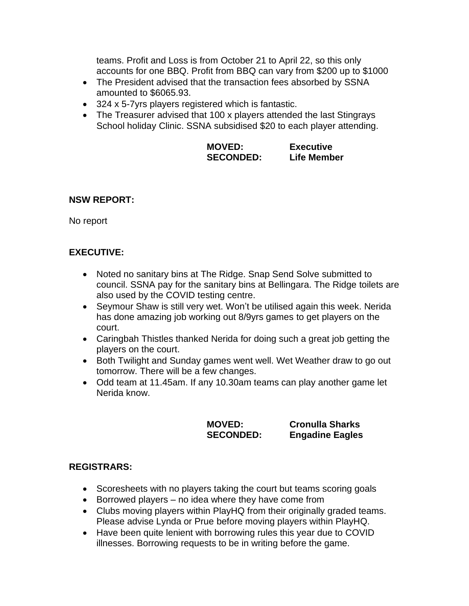teams. Profit and Loss is from October 21 to April 22, so this only accounts for one BBQ. Profit from BBQ can vary from \$200 up to \$1000

- The President advised that the transaction fees absorbed by SSNA amounted to \$6065.93.
- 324 x 5-7yrs players registered which is fantastic.
- The Treasurer advised that 100 x players attended the last Stingrays School holiday Clinic. SSNA subsidised \$20 to each player attending.

| <b>MOVED:</b>    | <b>Executive</b> |
|------------------|------------------|
| <b>SECONDED:</b> | Life Member      |

### **NSW REPORT:**

No report

# **EXECUTIVE:**

- Noted no sanitary bins at The Ridge. Snap Send Solve submitted to council. SSNA pay for the sanitary bins at Bellingara. The Ridge toilets are also used by the COVID testing centre.
- Seymour Shaw is still very wet. Won't be utilised again this week. Nerida has done amazing job working out 8/9yrs games to get players on the court.
- Caringbah Thistles thanked Nerida for doing such a great job getting the players on the court.
- Both Twilight and Sunday games went well. Wet Weather draw to go out tomorrow. There will be a few changes.
- Odd team at 11.45am. If any 10.30am teams can play another game let Nerida know.

| <b>MOVED:</b>    | <b>Cronulla Sharks</b> |
|------------------|------------------------|
| <b>SECONDED:</b> | <b>Engadine Eagles</b> |

### **REGISTRARS:**

- Scoresheets with no players taking the court but teams scoring goals
- Borrowed players no idea where they have come from
- Clubs moving players within PlayHQ from their originally graded teams. Please advise Lynda or Prue before moving players within PlayHQ.
- Have been quite lenient with borrowing rules this year due to COVID illnesses. Borrowing requests to be in writing before the game.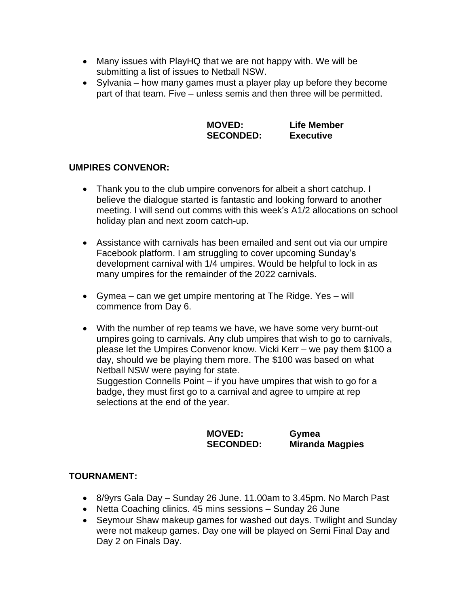- Many issues with PlayHQ that we are not happy with. We will be submitting a list of issues to Netball NSW.
- Sylvania how many games must a player play up before they become part of that team. Five – unless semis and then three will be permitted.

| <b>MOVED:</b>    | <b>Life Member</b> |
|------------------|--------------------|
| <b>SECONDED:</b> | <b>Executive</b>   |

# **UMPIRES CONVENOR:**

- Thank you to the club umpire convenors for albeit a short catchup. I believe the dialogue started is fantastic and looking forward to another meeting. I will send out comms with this week's A1/2 allocations on school holiday plan and next zoom catch-up.
- Assistance with carnivals has been emailed and sent out via our umpire Facebook platform. I am struggling to cover upcoming Sunday's development carnival with 1/4 umpires. Would be helpful to lock in as many umpires for the remainder of the 2022 carnivals.
- Gymea can we get umpire mentoring at The Ridge. Yes will commence from Day 6.
- With the number of rep teams we have, we have some very burnt-out umpires going to carnivals. Any club umpires that wish to go to carnivals, please let the Umpires Convenor know. Vicki Kerr – we pay them \$100 a day, should we be playing them more. The \$100 was based on what Netball NSW were paying for state.

Suggestion Connells Point – if you have umpires that wish to go for a badge, they must first go to a carnival and agree to umpire at rep selections at the end of the year.

**MOVED: Gymea**

**SECONDED: Miranda Magpies**

### **TOURNAMENT:**

- 8/9yrs Gala Day Sunday 26 June. 11.00am to 3.45pm. No March Past
- Netta Coaching clinics. 45 mins sessions Sunday 26 June
- Seymour Shaw makeup games for washed out days. Twilight and Sunday were not makeup games. Day one will be played on Semi Final Day and Day 2 on Finals Day.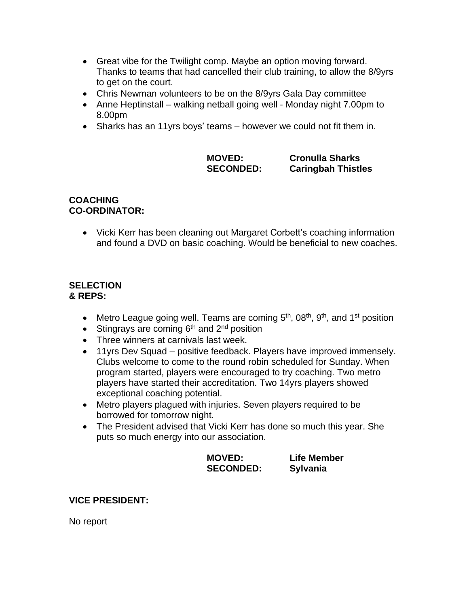- Great vibe for the Twilight comp. Maybe an option moving forward. Thanks to teams that had cancelled their club training, to allow the 8/9yrs to get on the court.
- Chris Newman volunteers to be on the 8/9yrs Gala Day committee
- Anne Heptinstall walking netball going well Monday night 7.00pm to 8.00pm
- Sharks has an 11yrs boys' teams however we could not fit them in.

| <b>MOVED:</b>    | <b>Cronulla Sharks</b>  |
|------------------|-------------------------|
| <b>SECONDED:</b> | <b>Caringbah Thistl</b> |

**ngbah Thistles** 

# **COACHING CO-ORDINATOR:**

• Vicki Kerr has been cleaning out Margaret Corbett's coaching information and found a DVD on basic coaching. Would be beneficial to new coaches.

### **SELECTION & REPS:**

- Metro League going well. Teams are coming 5<sup>th</sup>, 08<sup>th</sup>, 9<sup>th</sup>, and 1<sup>st</sup> position
- Stingrays are coming  $6<sup>th</sup>$  and  $2<sup>nd</sup>$  position
- Three winners at carnivals last week.
- 11yrs Dev Squad positive feedback. Players have improved immensely. Clubs welcome to come to the round robin scheduled for Sunday. When program started, players were encouraged to try coaching. Two metro players have started their accreditation. Two 14yrs players showed exceptional coaching potential.
- Metro players plagued with injuries. Seven players required to be borrowed for tomorrow night.
- The President advised that Vicki Kerr has done so much this year. She puts so much energy into our association.

| <b>MOVED:</b>    | <b>Life Member</b> |
|------------------|--------------------|
| <b>SECONDED:</b> | <b>Sylvania</b>    |

# **VICE PRESIDENT:**

No report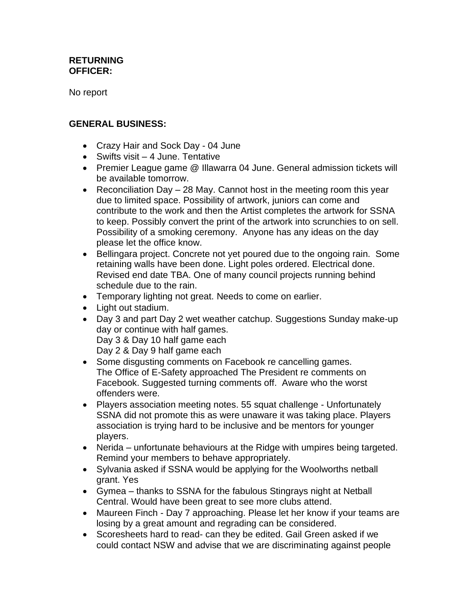### **RETURNING OFFICER:**

No report

# **GENERAL BUSINESS:**

- Crazy Hair and Sock Day 04 June
- Swifts visit 4 June. Tentative
- Premier League game @ Illawarra 04 June. General admission tickets will be available tomorrow.
- Reconciliation Day 28 May. Cannot host in the meeting room this year due to limited space. Possibility of artwork, juniors can come and contribute to the work and then the Artist completes the artwork for SSNA to keep. Possibly convert the print of the artwork into scrunchies to on sell. Possibility of a smoking ceremony. Anyone has any ideas on the day please let the office know.
- Bellingara project. Concrete not yet poured due to the ongoing rain. Some retaining walls have been done. Light poles ordered. Electrical done. Revised end date TBA. One of many council projects running behind schedule due to the rain.
- Temporary lighting not great. Needs to come on earlier.
- Light out stadium.
- Day 3 and part Day 2 wet weather catchup. Suggestions Sunday make-up day or continue with half games.

Day 3 & Day 10 half game each

Day 2 & Day 9 half game each

- Some disgusting comments on Facebook re cancelling games. The Office of E-Safety approached The President re comments on Facebook. Suggested turning comments off. Aware who the worst offenders were.
- Players association meeting notes. 55 squat challenge Unfortunately SSNA did not promote this as were unaware it was taking place. Players association is trying hard to be inclusive and be mentors for younger players.
- Nerida unfortunate behaviours at the Ridge with umpires being targeted. Remind your members to behave appropriately.
- Sylvania asked if SSNA would be applying for the Woolworths netball grant. Yes
- Gymea thanks to SSNA for the fabulous Stingrays night at Netball Central. Would have been great to see more clubs attend.
- Maureen Finch Day 7 approaching. Please let her know if your teams are losing by a great amount and regrading can be considered.
- Scoresheets hard to read- can they be edited. Gail Green asked if we could contact NSW and advise that we are discriminating against people